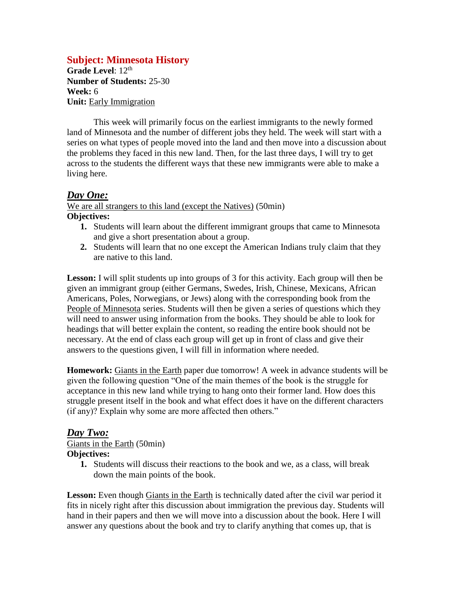## **Subject: Minnesota History**

Grade Level: 12<sup>th</sup> **Number of Students:** 25-30 **Week:** 6 **Unit:** Early Immigration

This week will primarily focus on the earliest immigrants to the newly formed land of Minnesota and the number of different jobs they held. The week will start with a series on what types of people moved into the land and then move into a discussion about the problems they faced in this new land. Then, for the last three days, I will try to get across to the students the different ways that these new immigrants were able to make a living here.

### *Day One:*

We are all strangers to this land (except the Natives) (50min) **Objectives:**

- **1.** Students will learn about the different immigrant groups that came to Minnesota and give a short presentation about a group.
- **2.** Students will learn that no one except the American Indians truly claim that they are native to this land.

Lesson: I will split students up into groups of 3 for this activity. Each group will then be given an immigrant group (either Germans, Swedes, Irish, Chinese, Mexicans, African Americans, Poles, Norwegians, or Jews) along with the corresponding book from the People of Minnesota series. Students will then be given a series of questions which they will need to answer using information from the books. They should be able to look for headings that will better explain the content, so reading the entire book should not be necessary. At the end of class each group will get up in front of class and give their answers to the questions given, I will fill in information where needed.

**Homework:** Giants in the Earth paper due tomorrow! A week in advance students will be given the following question "One of the main themes of the book is the struggle for acceptance in this new land while trying to hang onto their former land. How does this struggle present itself in the book and what effect does it have on the different characters (if any)? Explain why some are more affected then others."

### *Day Two:*

Giants in the Earth (50min) **Objectives:**

- - **1.** Students will discuss their reactions to the book and we, as a class, will break down the main points of the book.

Lesson: Even though Giants in the Earth is technically dated after the civil war period it fits in nicely right after this discussion about immigration the previous day. Students will hand in their papers and then we will move into a discussion about the book. Here I will answer any questions about the book and try to clarify anything that comes up, that is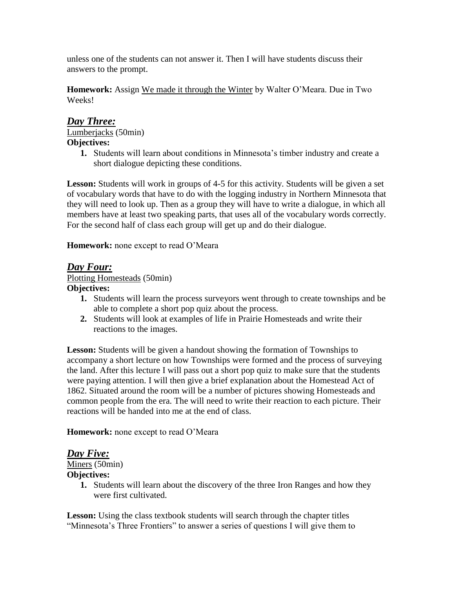unless one of the students can not answer it. Then I will have students discuss their answers to the prompt.

**Homework:** Assign We made it through the Winter by Walter O'Meara. Due in Two Weeks!

### *Day Three:*

Lumberjacks (50min) **Objectives:**

**1.** Students will learn about conditions in Minnesota's timber industry and create a short dialogue depicting these conditions.

**Lesson:** Students will work in groups of 4-5 for this activity. Students will be given a set of vocabulary words that have to do with the logging industry in Northern Minnesota that they will need to look up. Then as a group they will have to write a dialogue, in which all members have at least two speaking parts, that uses all of the vocabulary words correctly. For the second half of class each group will get up and do their dialogue.

**Homework:** none except to read O'Meara

# *Day Four:*

Plotting Homesteads (50min) **Objectives:**

- **1.** Students will learn the process surveyors went through to create townships and be able to complete a short pop quiz about the process.
- **2.** Students will look at examples of life in Prairie Homesteads and write their reactions to the images.

**Lesson:** Students will be given a handout showing the formation of Townships to accompany a short lecture on how Townships were formed and the process of surveying the land. After this lecture I will pass out a short pop quiz to make sure that the students were paying attention. I will then give a brief explanation about the Homestead Act of 1862. Situated around the room will be a number of pictures showing Homesteads and common people from the era. The will need to write their reaction to each picture. Their reactions will be handed into me at the end of class.

**Homework:** none except to read O'Meara

### *Day Five:*

Miners (50min) **Objectives:**

> **1.** Students will learn about the discovery of the three Iron Ranges and how they were first cultivated.

Lesson: Using the class textbook students will search through the chapter titles "Minnesota's Three Frontiers" to answer a series of questions I will give them to